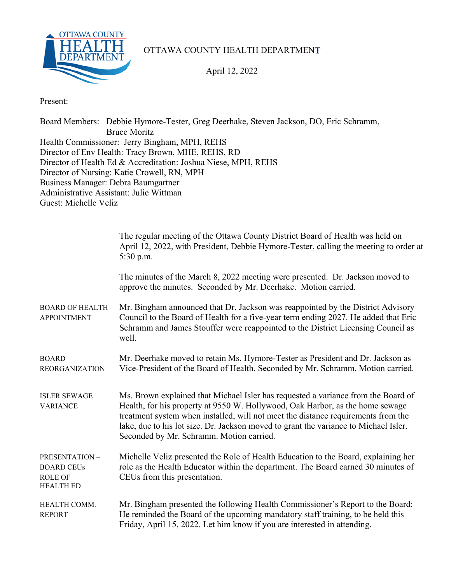

## OTTAWA COUNTY HEALTH DEPARTMENT

April 12, 2022

Present:

Board Members: Debbie Hymore-Tester, Greg Deerhake, Steven Jackson, DO, Eric Schramm, Bruce Moritz Health Commissioner: Jerry Bingham, MPH, REHS Director of Env Health: Tracy Brown, MHE, REHS, RD Director of Health Ed & Accreditation: Joshua Niese, MPH, REHS Director of Nursing: Katie Crowell, RN, MPH Business Manager: Debra Baumgartner Administrative Assistant: Julie Wittman Guest: Michelle Veliz

|                                                                                 | The regular meeting of the Ottawa County District Board of Health was held on<br>April 12, 2022, with President, Debbie Hymore-Tester, calling the meeting to order at<br>$5:30$ p.m.                                                                                                                                                                                                       |
|---------------------------------------------------------------------------------|---------------------------------------------------------------------------------------------------------------------------------------------------------------------------------------------------------------------------------------------------------------------------------------------------------------------------------------------------------------------------------------------|
|                                                                                 | The minutes of the March 8, 2022 meeting were presented. Dr. Jackson moved to<br>approve the minutes. Seconded by Mr. Deerhake. Motion carried.                                                                                                                                                                                                                                             |
| <b>BOARD OF HEALTH</b><br><b>APPOINTMENT</b>                                    | Mr. Bingham announced that Dr. Jackson was reappointed by the District Advisory<br>Council to the Board of Health for a five-year term ending 2027. He added that Eric<br>Schramm and James Stouffer were reappointed to the District Licensing Council as<br>well.                                                                                                                         |
| <b>BOARD</b><br><b>REORGANIZATION</b>                                           | Mr. Deerhake moved to retain Ms. Hymore-Tester as President and Dr. Jackson as<br>Vice-President of the Board of Health. Seconded by Mr. Schramm. Motion carried.                                                                                                                                                                                                                           |
| <b>ISLER SEWAGE</b><br><b>VARIANCE</b>                                          | Ms. Brown explained that Michael Isler has requested a variance from the Board of<br>Health, for his property at 9550 W. Hollywood, Oak Harbor, as the home sewage<br>treatment system when installed, will not meet the distance requirements from the<br>lake, due to his lot size. Dr. Jackson moved to grant the variance to Michael Isler.<br>Seconded by Mr. Schramm. Motion carried. |
| <b>PRESENTATION-</b><br><b>BOARD CEUs</b><br><b>ROLE OF</b><br><b>HEALTH ED</b> | Michelle Veliz presented the Role of Health Education to the Board, explaining her<br>role as the Health Educator within the department. The Board earned 30 minutes of<br>CEUs from this presentation.                                                                                                                                                                                     |
| HEALTH COMM.<br><b>REPORT</b>                                                   | Mr. Bingham presented the following Health Commissioner's Report to the Board:<br>He reminded the Board of the upcoming mandatory staff training, to be held this<br>Friday, April 15, 2022. Let him know if you are interested in attending.                                                                                                                                               |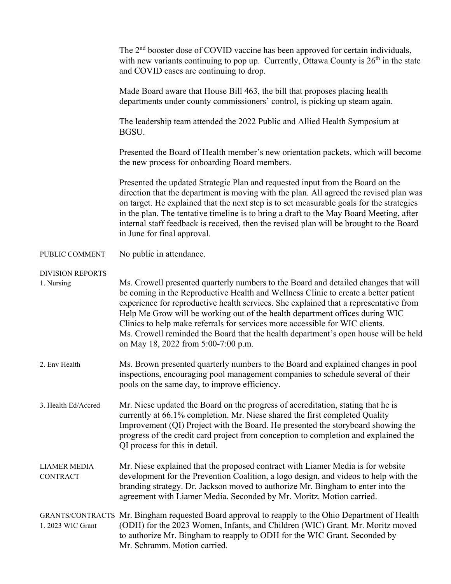|                                        | The 2 <sup>nd</sup> booster dose of COVID vaccine has been approved for certain individuals,<br>with new variants continuing to pop up. Currently, Ottawa County is $26th$ in the state<br>and COVID cases are continuing to drop.                                                                                                                                                                                                                                                                                                                                |
|----------------------------------------|-------------------------------------------------------------------------------------------------------------------------------------------------------------------------------------------------------------------------------------------------------------------------------------------------------------------------------------------------------------------------------------------------------------------------------------------------------------------------------------------------------------------------------------------------------------------|
|                                        | Made Board aware that House Bill 463, the bill that proposes placing health<br>departments under county commissioners' control, is picking up steam again.                                                                                                                                                                                                                                                                                                                                                                                                        |
|                                        | The leadership team attended the 2022 Public and Allied Health Symposium at<br>BGSU.                                                                                                                                                                                                                                                                                                                                                                                                                                                                              |
|                                        | Presented the Board of Health member's new orientation packets, which will become<br>the new process for onboarding Board members.                                                                                                                                                                                                                                                                                                                                                                                                                                |
|                                        | Presented the updated Strategic Plan and requested input from the Board on the<br>direction that the department is moving with the plan. All agreed the revised plan was<br>on target. He explained that the next step is to set measurable goals for the strategies<br>in the plan. The tentative timeline is to bring a draft to the May Board Meeting, after<br>internal staff feedback is received, then the revised plan will be brought to the Board<br>in June for final approval.                                                                         |
| PUBLIC COMMENT                         | No public in attendance.                                                                                                                                                                                                                                                                                                                                                                                                                                                                                                                                          |
| <b>DIVISION REPORTS</b><br>1. Nursing  | Ms. Crowell presented quarterly numbers to the Board and detailed changes that will<br>be coming in the Reproductive Health and Wellness Clinic to create a better patient<br>experience for reproductive health services. She explained that a representative from<br>Help Me Grow will be working out of the health department offices during WIC<br>Clinics to help make referrals for services more accessible for WIC clients.<br>Ms. Crowell reminded the Board that the health department's open house will be held<br>on May 18, 2022 from 5:00-7:00 p.m. |
| 2. Env Health                          | Ms. Brown presented quarterly numbers to the Board and explained changes in pool<br>inspections, encouraging pool management companies to schedule several of their<br>pools on the same day, to improve efficiency.                                                                                                                                                                                                                                                                                                                                              |
| 3. Health Ed/Accred                    | Mr. Niese updated the Board on the progress of accreditation, stating that he is<br>currently at 66.1% completion. Mr. Niese shared the first completed Quality<br>Improvement (QI) Project with the Board. He presented the storyboard showing the<br>progress of the credit card project from conception to completion and explained the<br>QI process for this in detail.                                                                                                                                                                                      |
| <b>LIAMER MEDIA</b><br><b>CONTRACT</b> | Mr. Niese explained that the proposed contract with Liamer Media is for website<br>development for the Prevention Coalition, a logo design, and videos to help with the<br>branding strategy. Dr. Jackson moved to authorize Mr. Bingham to enter into the<br>agreement with Liamer Media. Seconded by Mr. Moritz. Motion carried.                                                                                                                                                                                                                                |
| 1. 2023 WIC Grant                      | GRANTS/CONTRACTS Mr. Bingham requested Board approval to reapply to the Ohio Department of Health<br>(ODH) for the 2023 Women, Infants, and Children (WIC) Grant. Mr. Moritz moved<br>to authorize Mr. Bingham to reapply to ODH for the WIC Grant. Seconded by<br>Mr. Schramm. Motion carried.                                                                                                                                                                                                                                                                   |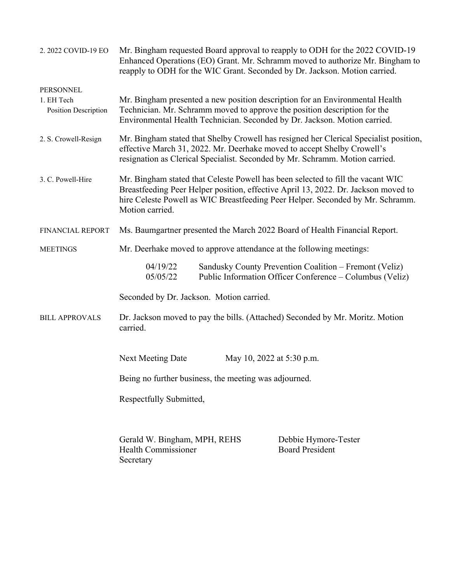| 2. 2022 COVID-19 EO                                    | Mr. Bingham requested Board approval to reapply to ODH for the 2022 COVID-19<br>Enhanced Operations (EO) Grant. Mr. Schramm moved to authorize Mr. Bingham to<br>reapply to ODH for the WIC Grant. Seconded by Dr. Jackson. Motion carried.                                |  |  |  |
|--------------------------------------------------------|----------------------------------------------------------------------------------------------------------------------------------------------------------------------------------------------------------------------------------------------------------------------------|--|--|--|
| PERSONNEL<br>1. EH Tech<br><b>Position Description</b> | Mr. Bingham presented a new position description for an Environmental Health<br>Technician. Mr. Schramm moved to approve the position description for the<br>Environmental Health Technician. Seconded by Dr. Jackson. Motion carried.                                     |  |  |  |
| 2. S. Crowell-Resign                                   | Mr. Bingham stated that Shelby Crowell has resigned her Clerical Specialist position,<br>effective March 31, 2022. Mr. Deerhake moved to accept Shelby Crowell's<br>resignation as Clerical Specialist. Seconded by Mr. Schramm. Motion carried.                           |  |  |  |
| 3. C. Powell-Hire                                      | Mr. Bingham stated that Celeste Powell has been selected to fill the vacant WIC<br>Breastfeeding Peer Helper position, effective April 13, 2022. Dr. Jackson moved to<br>hire Celeste Powell as WIC Breastfeeding Peer Helper. Seconded by Mr. Schramm.<br>Motion carried. |  |  |  |
| FINANCIAL REPORT                                       | Ms. Baumgartner presented the March 2022 Board of Health Financial Report.                                                                                                                                                                                                 |  |  |  |
| <b>MEETINGS</b>                                        | Mr. Deerhake moved to approve attendance at the following meetings:                                                                                                                                                                                                        |  |  |  |
|                                                        | 04/19/22<br>Sandusky County Prevention Coalition - Fremont (Veliz)<br>Public Information Officer Conference – Columbus (Veliz)<br>05/05/22                                                                                                                                 |  |  |  |
|                                                        | Seconded by Dr. Jackson. Motion carried.                                                                                                                                                                                                                                   |  |  |  |
| <b>BILL APPROVALS</b>                                  | Dr. Jackson moved to pay the bills. (Attached) Seconded by Mr. Moritz. Motion<br>carried.                                                                                                                                                                                  |  |  |  |
|                                                        | <b>Next Meeting Date</b><br>May 10, 2022 at 5:30 p.m.                                                                                                                                                                                                                      |  |  |  |
|                                                        | Being no further business, the meeting was adjourned.                                                                                                                                                                                                                      |  |  |  |
|                                                        | Respectfully Submitted,                                                                                                                                                                                                                                                    |  |  |  |
|                                                        | Gerald W. Bingham, MPH, REHS<br>Debbie Hymore-Tester<br><b>Board President</b><br><b>Health Commissioner</b><br>Secretary                                                                                                                                                  |  |  |  |